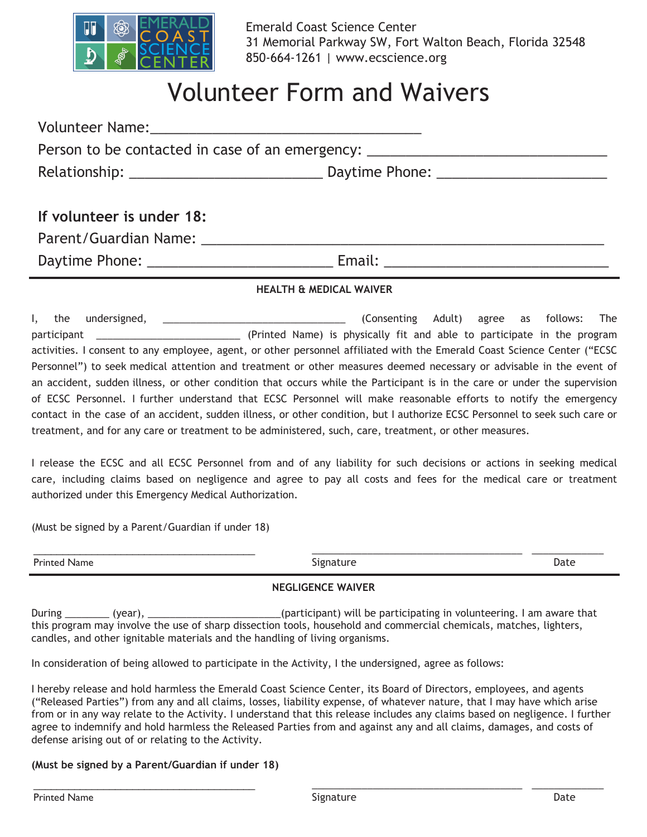

# Volunteer Form and Waivers

|                           | Person to be contacted in case of an emergency: ________________________________ |  |  |  |
|---------------------------|----------------------------------------------------------------------------------|--|--|--|
|                           |                                                                                  |  |  |  |
| If volunteer is under 18: |                                                                                  |  |  |  |
| Parent/Guardian Name:     |                                                                                  |  |  |  |

Daytime Phone: \_\_\_\_\_\_\_\_\_\_\_\_\_\_\_\_\_\_\_\_\_\_\_\_ Email: \_\_\_\_\_\_\_\_\_\_\_\_\_\_\_\_\_\_\_\_\_\_\_\_\_\_\_\_\_

#### **HEALTH & MEDICAL WAIVER**

I, the undersigned, \_\_\_\_\_\_\_\_\_\_\_\_\_\_\_\_\_\_\_\_\_\_\_\_\_\_\_\_\_\_\_\_\_ (Consenting Adult) agree as follows: The participant \_\_\_\_\_\_\_\_\_\_\_\_\_\_\_\_\_\_\_\_\_\_\_\_\_\_ (Printed Name) is physically fit and able to participate in the program activities. I consent to any employee, agent, or other personnel affiliated with the Emerald Coast Science Center ("ECSC Personnel") to seek medical attention and treatment or other measures deemed necessary or advisable in the event of an accident, sudden illness, or other condition that occurs while the Participant is in the care or under the supervision of ECSC Personnel. I further understand that ECSC Personnel will make reasonable efforts to notify the emergency contact in the case of an accident, sudden illness, or other condition, but I authorize ECSC Personnel to seek such care or treatment, and for any care or treatment to be administered, such, care, treatment, or other measures.

I release the ECSC and all ECSC Personnel from and of any liability for such decisions or actions in seeking medical care, including claims based on negligence and agree to pay all costs and fees for the medical care or treatment authorized under this Emergency Medical Authorization.

(Must be signed by a Parent/Guardian if under 18)

| Diriched<br>vame | $\sim$ $\sim$<br>1 I I I I<br>----- -<br>__ | Date<br>. |
|------------------|---------------------------------------------|-----------|
|                  |                                             |           |

### **NEGLIGENCE WAIVER**

During \_\_\_\_\_\_\_\_ (year), \_\_\_\_\_\_\_\_\_\_\_\_\_\_\_\_\_\_\_\_\_\_\_\_(participant) will be participating in volunteering. I am aware that this program may involve the use of sharp dissection tools, household and commercial chemicals, matches, lighters, candles, and other ignitable materials and the handling of living organisms.

In consideration of being allowed to participate in the Activity, I the undersigned, agree as follows:

I hereby release and hold harmless the Emerald Coast Science Center, its Board of Directors, employees, and agents ("Released Parties") from any and all claims, losses, liability expense, of whatever nature, that I may have which arise from or in any way relate to the Activity. I understand that this release includes any claims based on negligence. I further agree to indemnify and hold harmless the Released Parties from and against any and all claims, damages, and costs of defense arising out of or relating to the Activity.

#### **(Must be signed by a Parent/Guardian if under 18)**

\_\_\_\_\_\_\_\_\_\_\_\_\_\_\_\_\_\_\_\_\_\_\_\_\_\_\_\_\_\_\_\_\_\_\_\_\_\_

\_\_\_\_\_\_\_\_\_\_\_\_\_\_\_\_\_\_\_\_\_\_\_\_\_\_\_\_\_\_\_\_\_\_\_\_\_\_ \_\_\_\_\_\_\_\_\_\_\_\_\_